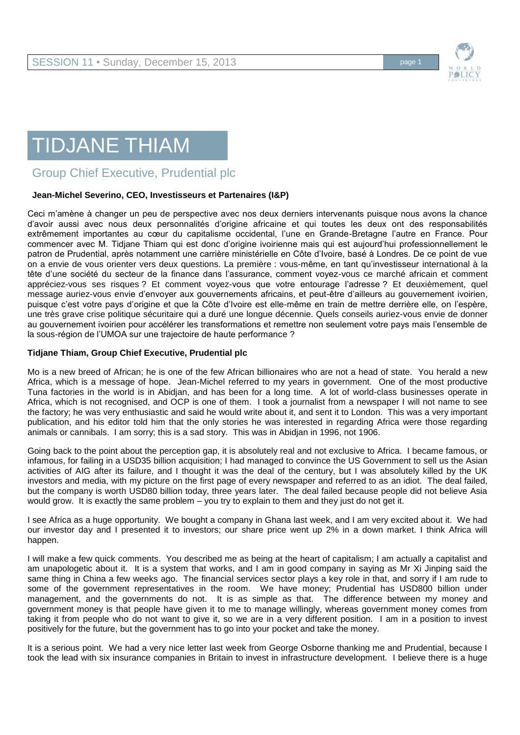



## TIDJANE THIAM

Group Chief Executive, Prudential plc

## **Jean-Michel Severino, CEO, Investisseurs et Partenaires (I&P)**

Ceci m'amène à changer un peu de perspective avec nos deux derniers intervenants puisque nous avons la chance d'avoir aussi avec nous deux personnalités d'origine africaine et qui toutes les deux ont des responsabilités extrêmement importantes au cœur du capitalisme occidental, l'une en Grande-Bretagne l'autre en France. Pour commencer avec M. Tidjane Thiam qui est donc d'origine ivoirienne mais qui est aujourd'hui professionnellement le patron de Prudential, après notamment une carrière ministérielle en Côte d'Ivoire, basé à Londres. De ce point de vue on a envie de vous orienter vers deux questions. La première : vous-même, en tant qu'investisseur international à la tête d'une société du secteur de la finance dans l'assurance, comment voyez-vous ce marché africain et comment appréciez-vous ses risques ? Et comment voyez-vous que votre entourage l'adresse ? Et deuxièmement, quel message auriez-vous envie d'envoyer aux gouvernements africains, et peut-être d'ailleurs au gouvernement ivoirien, puisque c'est votre pays d'origine et que la Côte d'Ivoire est elle-même en train de mettre derrière elle, on l'espère, une très grave crise politique sécuritaire qui a duré une longue décennie. Quels conseils auriez-vous envie de donner au gouvernement ivoirien pour accélérer les transformations et remettre non seulement votre pays mais l'ensemble de la sous-région de l'UMOA sur une trajectoire de haute performance ?

## **Tidjane Thiam, Group Chief Executive, Prudential plc**

Mo is a new breed of African; he is one of the few African billionaires who are not a head of state. You herald a new Africa, which is a message of hope. Jean-Michel referred to my years in government. One of the most productive Tuna factories in the world is in Abidjan, and has been for a long time. A lot of world-class businesses operate in Africa, which is not recognised, and OCP is one of them. I took a journalist from a newspaper I will not name to see the factory; he was very enthusiastic and said he would write about it, and sent it to London. This was a very important publication, and his editor told him that the only stories he was interested in regarding Africa were those regarding animals or cannibals. I am sorry; this is a sad story. This was in Abidjan in 1996, not 1906.

Going back to the point about the perception gap, it is absolutely real and not exclusive to Africa. I became famous, or infamous, for failing in a USD35 billion acquisition; I had managed to convince the US Government to sell us the Asian activities of AIG after its failure, and I thought it was the deal of the century, but I was absolutely killed by the UK investors and media, with my picture on the first page of every newspaper and referred to as an idiot. The deal failed, but the company is worth USD80 billion today, three years later. The deal failed because people did not believe Asia would grow. It is exactly the same problem – you try to explain to them and they just do not get it.

I see Africa as a huge opportunity. We bought a company in Ghana last week, and I am very excited about it. We had our investor day and I presented it to investors; our share price went up 2% in a down market. I think Africa will happen.

I will make a few quick comments. You described me as being at the heart of capitalism; I am actually a capitalist and am unapologetic about it. It is a system that works, and I am in good company in saying as Mr Xi Jinping said the same thing in China a few weeks ago. The financial services sector plays a key role in that, and sorry if I am rude to some of the government representatives in the room. We have money; Prudential has USD800 billion under management, and the governments do not. It is as simple as that. The difference between my money and government money is that people have given it to me to manage willingly, whereas government money comes from taking it from people who do not want to give it, so we are in a very different position. I am in a position to invest positively for the future, but the government has to go into your pocket and take the money.

It is a serious point. We had a very nice letter last week from George Osborne thanking me and Prudential, because I took the lead with six insurance companies in Britain to invest in infrastructure development. I believe there is a huge